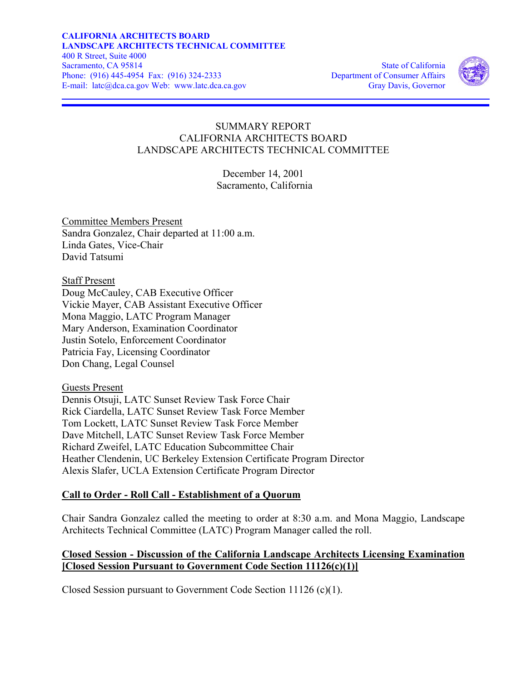

# SUMMARY REPORT CALIFORNIA ARCHITECTS BOARD LANDSCAPE ARCHITECTS TECHNICAL COMMITTEE

December 14, 2001 Sacramento, California

Committee Members Present Sandra Gonzalez, Chair departed at 11:00 a.m. Linda Gates, Vice-Chair David Tatsumi

Staff Present Doug McCauley, CAB Executive Officer Vickie Mayer, CAB Assistant Executive Officer Mona Maggio, LATC Program Manager Mary Anderson, Examination Coordinator Justin Sotelo, Enforcement Coordinator Patricia Fay, Licensing Coordinator Don Chang, Legal Counsel

Guests Present

Dennis Otsuji, LATC Sunset Review Task Force Chair Rick Ciardella, LATC Sunset Review Task Force Member Tom Lockett, LATC Sunset Review Task Force Member Dave Mitchell, LATC Sunset Review Task Force Member Richard Zweifel, LATC Education Subcommittee Chair Heather Clendenin, UC Berkeley Extension Certificate Program Director Alexis Slafer, UCLA Extension Certificate Program Director

# **Call to Order - Roll Call - Establishment of a Quorum**

Chair Sandra Gonzalez called the meeting to order at 8:30 a.m. and Mona Maggio, Landscape Architects Technical Committee (LATC) Program Manager called the roll.

# **Closed Session - Discussion of the California Landscape Architects Licensing Examination [Closed Session Pursuant to Government Code Section 11126(c)(1)]**

Closed Session pursuant to Government Code Section 11126 (c)(1).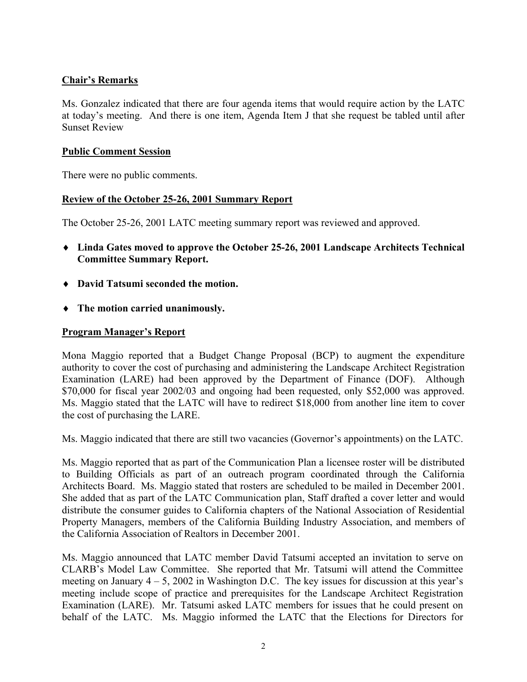# **Chair's Remarks**

Ms. Gonzalez indicated that there are four agenda items that would require action by the LATC at today's meeting. And there is one item, Agenda Item J that she request be tabled until after Sunset Review

#### **Public Comment Session**

There were no public comments.

#### **Review of the October 25-26, 2001 Summary Report**

The October 25-26, 2001 LATC meeting summary report was reviewed and approved.

- ♦ **Linda Gates moved to approve the October 25-26, 2001 Landscape Architects Technical Committee Summary Report.**
- ♦ **David Tatsumi seconded the motion.**
- ♦ **The motion carried unanimously.**

#### **Program Manager's Report**

Mona Maggio reported that a Budget Change Proposal (BCP) to augment the expenditure authority to cover the cost of purchasing and administering the Landscape Architect Registration Examination (LARE) had been approved by the Department of Finance (DOF). Although \$70,000 for fiscal year 2002/03 and ongoing had been requested, only \$52,000 was approved. Ms. Maggio stated that the LATC will have to redirect \$18,000 from another line item to cover the cost of purchasing the LARE.

Ms. Maggio indicated that there are still two vacancies (Governor's appointments) on the LATC.

Ms. Maggio reported that as part of the Communication Plan a licensee roster will be distributed to Building Officials as part of an outreach program coordinated through the California Architects Board. Ms. Maggio stated that rosters are scheduled to be mailed in December 2001. She added that as part of the LATC Communication plan, Staff drafted a cover letter and would distribute the consumer guides to California chapters of the National Association of Residential Property Managers, members of the California Building Industry Association, and members of the California Association of Realtors in December 2001.

Ms. Maggio announced that LATC member David Tatsumi accepted an invitation to serve on CLARB's Model Law Committee. She reported that Mr. Tatsumi will attend the Committee meeting on January  $4 - 5$ , 2002 in Washington D.C. The key issues for discussion at this year's meeting include scope of practice and prerequisites for the Landscape Architect Registration Examination (LARE). Mr. Tatsumi asked LATC members for issues that he could present on behalf of the LATC. Ms. Maggio informed the LATC that the Elections for Directors for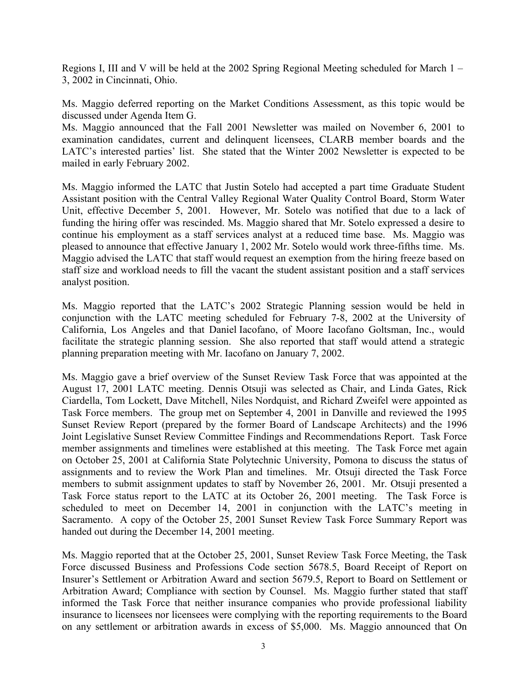Regions I, III and V will be held at the 2002 Spring Regional Meeting scheduled for March 1 – 3, 2002 in Cincinnati, Ohio.

Ms. Maggio deferred reporting on the Market Conditions Assessment, as this topic would be discussed under Agenda Item G.

Ms. Maggio announced that the Fall 2001 Newsletter was mailed on November 6, 2001 to examination candidates, current and delinquent licensees, CLARB member boards and the LATC's interested parties' list. She stated that the Winter 2002 Newsletter is expected to be mailed in early February 2002.

Ms. Maggio informed the LATC that Justin Sotelo had accepted a part time Graduate Student Assistant position with the Central Valley Regional Water Quality Control Board, Storm Water Unit, effective December 5, 2001. However, Mr. Sotelo was notified that due to a lack of funding the hiring offer was rescinded. Ms. Maggio shared that Mr. Sotelo expressed a desire to continue his employment as a staff services analyst at a reduced time base. Ms. Maggio was pleased to announce that effective January 1, 2002 Mr. Sotelo would work three-fifths time. Ms. Maggio advised the LATC that staff would request an exemption from the hiring freeze based on staff size and workload needs to fill the vacant the student assistant position and a staff services analyst position.

Ms. Maggio reported that the LATC's 2002 Strategic Planning session would be held in conjunction with the LATC meeting scheduled for February 7-8, 2002 at the University of California, Los Angeles and that Daniel Iacofano, of Moore Iacofano Goltsman, Inc., would facilitate the strategic planning session. She also reported that staff would attend a strategic planning preparation meeting with Mr. Iacofano on January 7, 2002.

Ms. Maggio gave a brief overview of the Sunset Review Task Force that was appointed at the August 17, 2001 LATC meeting. Dennis Otsuji was selected as Chair, and Linda Gates, Rick Ciardella, Tom Lockett, Dave Mitchell, Niles Nordquist, and Richard Zweifel were appointed as Task Force members. The group met on September 4, 2001 in Danville and reviewed the 1995 Sunset Review Report (prepared by the former Board of Landscape Architects) and the 1996 Joint Legislative Sunset Review Committee Findings and Recommendations Report. Task Force member assignments and timelines were established at this meeting. The Task Force met again on October 25, 2001 at California State Polytechnic University, Pomona to discuss the status of assignments and to review the Work Plan and timelines. Mr. Otsuji directed the Task Force members to submit assignment updates to staff by November 26, 2001. Mr. Otsuji presented a Task Force status report to the LATC at its October 26, 2001 meeting. The Task Force is scheduled to meet on December 14, 2001 in conjunction with the LATC's meeting in Sacramento. A copy of the October 25, 2001 Sunset Review Task Force Summary Report was handed out during the December 14, 2001 meeting.

Ms. Maggio reported that at the October 25, 2001, Sunset Review Task Force Meeting, the Task Force discussed Business and Professions Code section 5678.5, Board Receipt of Report on Insurer's Settlement or Arbitration Award and section 5679.5, Report to Board on Settlement or Arbitration Award; Compliance with section by Counsel. Ms. Maggio further stated that staff informed the Task Force that neither insurance companies who provide professional liability insurance to licensees nor licensees were complying with the reporting requirements to the Board on any settlement or arbitration awards in excess of \$5,000. Ms. Maggio announced that On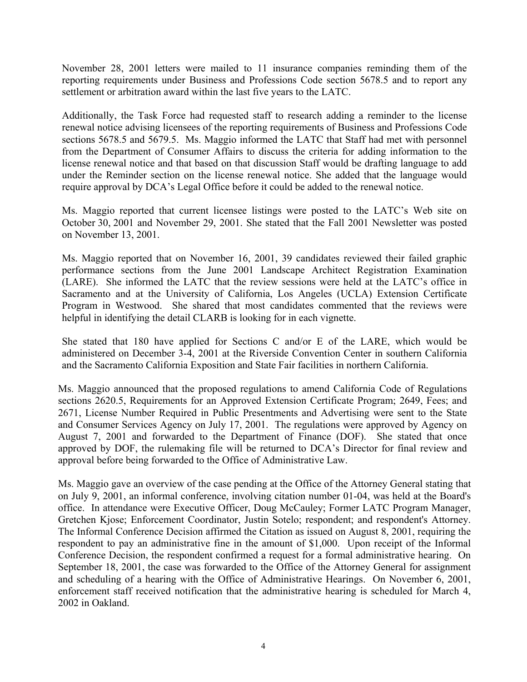November 28, 2001 letters were mailed to 11 insurance companies reminding them of the reporting requirements under Business and Professions Code section 5678.5 and to report any settlement or arbitration award within the last five years to the LATC.

Additionally, the Task Force had requested staff to research adding a reminder to the license renewal notice advising licensees of the reporting requirements of Business and Professions Code sections 5678.5 and 5679.5. Ms. Maggio informed the LATC that Staff had met with personnel from the Department of Consumer Affairs to discuss the criteria for adding information to the license renewal notice and that based on that discussion Staff would be drafting language to add under the Reminder section on the license renewal notice. She added that the language would require approval by DCA's Legal Office before it could be added to the renewal notice.

Ms. Maggio reported that current licensee listings were posted to the LATC's Web site on October 30, 2001 and November 29, 2001. She stated that the Fall 2001 Newsletter was posted on November 13, 2001.

Ms. Maggio reported that on November 16, 2001, 39 candidates reviewed their failed graphic performance sections from the June 2001 Landscape Architect Registration Examination (LARE). She informed the LATC that the review sessions were held at the LATC's office in Sacramento and at the University of California, Los Angeles (UCLA) Extension Certificate Program in Westwood. She shared that most candidates commented that the reviews were helpful in identifying the detail CLARB is looking for in each vignette.

She stated that 180 have applied for Sections C and/or E of the LARE, which would be administered on December 3-4, 2001 at the Riverside Convention Center in southern California and the Sacramento California Exposition and State Fair facilities in northern California.

Ms. Maggio announced that the proposed regulations to amend California Code of Regulations sections 2620.5, Requirements for an Approved Extension Certificate Program; 2649, Fees; and 2671, License Number Required in Public Presentments and Advertising were sent to the State and Consumer Services Agency on July 17, 2001. The regulations were approved by Agency on August 7, 2001 and forwarded to the Department of Finance (DOF). She stated that once approved by DOF, the rulemaking file will be returned to DCA's Director for final review and approval before being forwarded to the Office of Administrative Law.

Ms. Maggio gave an overview of the case pending at the Office of the Attorney General stating that on July 9, 2001, an informal conference, involving citation number 01-04, was held at the Board's office. In attendance were Executive Officer, Doug McCauley; Former LATC Program Manager, Gretchen Kjose; Enforcement Coordinator, Justin Sotelo; respondent; and respondent's Attorney. The Informal Conference Decision affirmed the Citation as issued on August 8, 2001, requiring the respondent to pay an administrative fine in the amount of \$1,000. Upon receipt of the Informal Conference Decision, the respondent confirmed a request for a formal administrative hearing. On September 18, 2001, the case was forwarded to the Office of the Attorney General for assignment and scheduling of a hearing with the Office of Administrative Hearings. On November 6, 2001, enforcement staff received notification that the administrative hearing is scheduled for March 4, 2002 in Oakland.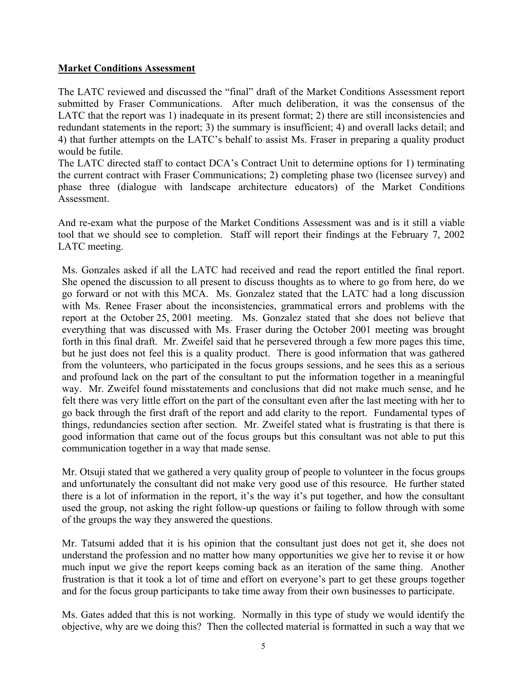#### **Market Conditions Assessment**

The LATC reviewed and discussed the "final" draft of the Market Conditions Assessment report submitted by Fraser Communications. After much deliberation, it was the consensus of the LATC that the report was 1) inadequate in its present format; 2) there are still inconsistencies and redundant statements in the report; 3) the summary is insufficient; 4) and overall lacks detail; and 4) that further attempts on the LATC's behalf to assist Ms. Fraser in preparing a quality product would be futile.

The LATC directed staff to contact DCA's Contract Unit to determine options for 1) terminating the current contract with Fraser Communications; 2) completing phase two (licensee survey) and phase three (dialogue with landscape architecture educators) of the Market Conditions **Assessment.** 

And re-exam what the purpose of the Market Conditions Assessment was and is it still a viable tool that we should see to completion. Staff will report their findings at the February 7, 2002 LATC meeting.

Ms. Gonzales asked if all the LATC had received and read the report entitled the final report. She opened the discussion to all present to discuss thoughts as to where to go from here, do we go forward or not with this MCA. Ms. Gonzalez stated that the LATC had a long discussion with Ms. Renee Fraser about the inconsistencies, grammatical errors and problems with the report at the October 25, 2001 meeting. Ms. Gonzalez stated that she does not believe that everything that was discussed with Ms. Fraser during the October 2001 meeting was brought forth in this final draft. Mr. Zweifel said that he persevered through a few more pages this time, but he just does not feel this is a quality product. There is good information that was gathered from the volunteers, who participated in the focus groups sessions, and he sees this as a serious and profound lack on the part of the consultant to put the information together in a meaningful way. Mr. Zweifel found misstatements and conclusions that did not make much sense, and he felt there was very little effort on the part of the consultant even after the last meeting with her to go back through the first draft of the report and add clarity to the report. Fundamental types of things, redundancies section after section. Mr. Zweifel stated what is frustrating is that there is good information that came out of the focus groups but this consultant was not able to put this communication together in a way that made sense.

Mr. Otsuji stated that we gathered a very quality group of people to volunteer in the focus groups and unfortunately the consultant did not make very good use of this resource. He further stated there is a lot of information in the report, it's the way it's put together, and how the consultant used the group, not asking the right follow-up questions or failing to follow through with some of the groups the way they answered the questions.

Mr. Tatsumi added that it is his opinion that the consultant just does not get it, she does not understand the profession and no matter how many opportunities we give her to revise it or how much input we give the report keeps coming back as an iteration of the same thing. Another frustration is that it took a lot of time and effort on everyone's part to get these groups together and for the focus group participants to take time away from their own businesses to participate.

Ms. Gates added that this is not working. Normally in this type of study we would identify the objective, why are we doing this? Then the collected material is formatted in such a way that we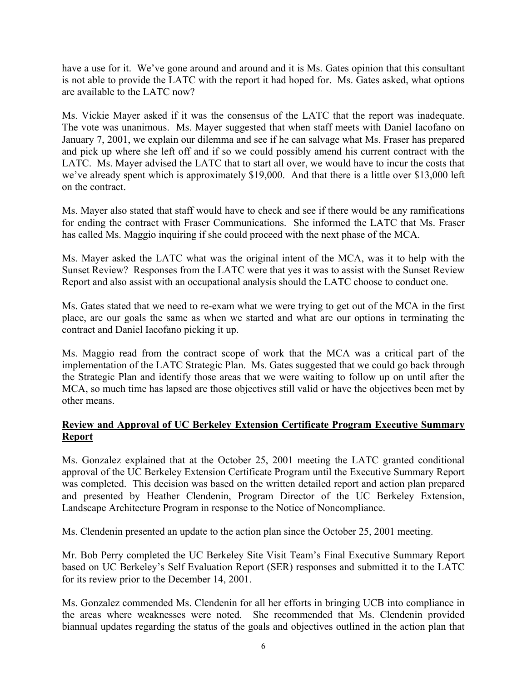have a use for it. We've gone around and around and it is Ms. Gates opinion that this consultant is not able to provide the LATC with the report it had hoped for. Ms. Gates asked, what options are available to the LATC now?

Ms. Vickie Mayer asked if it was the consensus of the LATC that the report was inadequate. The vote was unanimous. Ms. Mayer suggested that when staff meets with Daniel Iacofano on January 7, 2001, we explain our dilemma and see if he can salvage what Ms. Fraser has prepared and pick up where she left off and if so we could possibly amend his current contract with the LATC. Ms. Mayer advised the LATC that to start all over, we would have to incur the costs that we've already spent which is approximately \$19,000. And that there is a little over \$13,000 left on the contract.

Ms. Mayer also stated that staff would have to check and see if there would be any ramifications for ending the contract with Fraser Communications. She informed the LATC that Ms. Fraser has called Ms. Maggio inquiring if she could proceed with the next phase of the MCA.

Ms. Mayer asked the LATC what was the original intent of the MCA, was it to help with the Sunset Review? Responses from the LATC were that yes it was to assist with the Sunset Review Report and also assist with an occupational analysis should the LATC choose to conduct one.

Ms. Gates stated that we need to re-exam what we were trying to get out of the MCA in the first place, are our goals the same as when we started and what are our options in terminating the contract and Daniel Iacofano picking it up.

Ms. Maggio read from the contract scope of work that the MCA was a critical part of the implementation of the LATC Strategic Plan. Ms. Gates suggested that we could go back through the Strategic Plan and identify those areas that we were waiting to follow up on until after the MCA, so much time has lapsed are those objectives still valid or have the objectives been met by other means.

# **Review and Approval of UC Berkeley Extension Certificate Program Executive Summary Report**

Ms. Gonzalez explained that at the October 25, 2001 meeting the LATC granted conditional approval of the UC Berkeley Extension Certificate Program until the Executive Summary Report was completed. This decision was based on the written detailed report and action plan prepared and presented by Heather Clendenin, Program Director of the UC Berkeley Extension, Landscape Architecture Program in response to the Notice of Noncompliance.

Ms. Clendenin presented an update to the action plan since the October 25, 2001 meeting.

Mr. Bob Perry completed the UC Berkeley Site Visit Team's Final Executive Summary Report based on UC Berkeley's Self Evaluation Report (SER) responses and submitted it to the LATC for its review prior to the December 14, 2001.

Ms. Gonzalez commended Ms. Clendenin for all her efforts in bringing UCB into compliance in the areas where weaknesses were noted. She recommended that Ms. Clendenin provided biannual updates regarding the status of the goals and objectives outlined in the action plan that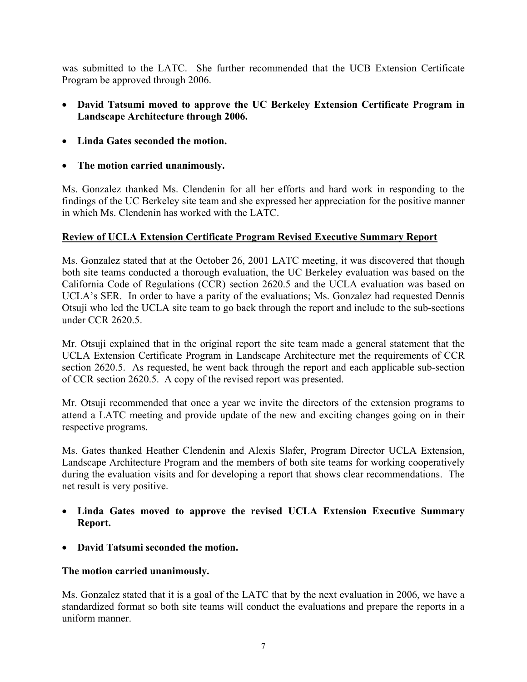was submitted to the LATC. She further recommended that the UCB Extension Certificate Program be approved through 2006.

- **David Tatsumi moved to approve the UC Berkeley Extension Certificate Program in Landscape Architecture through 2006.**
- **Linda Gates seconded the motion.**
- **The motion carried unanimously.**

Ms. Gonzalez thanked Ms. Clendenin for all her efforts and hard work in responding to the findings of the UC Berkeley site team and she expressed her appreciation for the positive manner in which Ms. Clendenin has worked with the LATC.

# **Review of UCLA Extension Certificate Program Revised Executive Summary Report**

Ms. Gonzalez stated that at the October 26, 2001 LATC meeting, it was discovered that though both site teams conducted a thorough evaluation, the UC Berkeley evaluation was based on the California Code of Regulations (CCR) section 2620.5 and the UCLA evaluation was based on UCLA's SER. In order to have a parity of the evaluations; Ms. Gonzalez had requested Dennis Otsuji who led the UCLA site team to go back through the report and include to the sub-sections under CCR 2620.5.

Mr. Otsuji explained that in the original report the site team made a general statement that the UCLA Extension Certificate Program in Landscape Architecture met the requirements of CCR section 2620.5. As requested, he went back through the report and each applicable sub-section of CCR section 2620.5. A copy of the revised report was presented.

Mr. Otsuji recommended that once a year we invite the directors of the extension programs to attend a LATC meeting and provide update of the new and exciting changes going on in their respective programs.

Ms. Gates thanked Heather Clendenin and Alexis Slafer, Program Director UCLA Extension, Landscape Architecture Program and the members of both site teams for working cooperatively during the evaluation visits and for developing a report that shows clear recommendations. The net result is very positive.

- **Linda Gates moved to approve the revised UCLA Extension Executive Summary Report.**
- **David Tatsumi seconded the motion.**

# **The motion carried unanimously.**

Ms. Gonzalez stated that it is a goal of the LATC that by the next evaluation in 2006, we have a standardized format so both site teams will conduct the evaluations and prepare the reports in a uniform manner.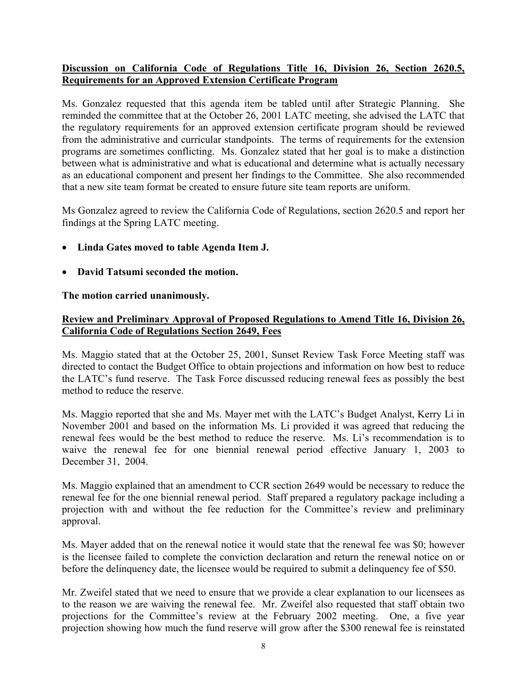# **Discussion on California Code of Regulations Title 16, Division 26, Section 2620.5, Requirements for an Approved Extension Certificate Program**

Ms. Gonzalez requested that this agenda item be tabled until after Strategic Planning. She reminded the committee that at the October 26, 2001 LATC meeting, she advised the LATC that the regulatory requirements for an approved extension certificate program should be reviewed from the administrative and curricular standpoints. The terms of requirements for the extension programs are sometimes conflicting. Ms. Gonzalez stated that her goal is to make a distinction between what is administrative and what is educational and determine what is actually necessary as an educational component and present her findings to the Committee. She also recommended that a new site team format be created to ensure future site team reports are uniform.

Ms Gonzalez agreed to review the California Code of Regulations, section 2620.5 and report her findings at the Spring LATC meeting.

- **Linda Gates moved to table Agenda Item J.**
- **David Tatsumi seconded the motion.**

**The motion carried unanimously.** 

#### **Review and Preliminary Approval of Proposed Regulations to Amend Title 16, Division 26, California Code of Regulations Section 2649, Fees**

Ms. Maggio stated that at the October 25, 2001, Sunset Review Task Force Meeting staff was directed to contact the Budget Office to obtain projections and information on how best to reduce the LATC's fund reserve. The Task Force discussed reducing renewal fees as possibly the best method to reduce the reserve.

Ms. Maggio reported that she and Ms. Mayer met with the LATC's Budget Analyst, Kerry Li in November 2001 and based on the information Ms. Li provided it was agreed that reducing the renewal fees would be the best method to reduce the reserve. Ms. Li's recommendation is to waive the renewal fee for one biennial renewal period effective January 1, 2003 to December 31, 2004.

Ms. Maggio explained that an amendment to CCR section 2649 would be necessary to reduce the renewal fee for the one biennial renewal period. Staff prepared a regulatory package including a projection with and without the fee reduction for the Committee's review and preliminary approval.

Ms. Mayer added that on the renewal notice it would state that the renewal fee was \$0; however is the licensee failed to complete the conviction declaration and return the renewal notice on or before the delinquency date, the licensee would be required to submit a delinquency fee of \$50.

Mr. Zweifel stated that we need to ensure that we provide a clear explanation to our licensees as to the reason we are waiving the renewal fee. Mr. Zweifel also requested that staff obtain two projections for the Committee's review at the February 2002 meeting. One, a five year projection showing how much the fund reserve will grow after the \$300 renewal fee is reinstated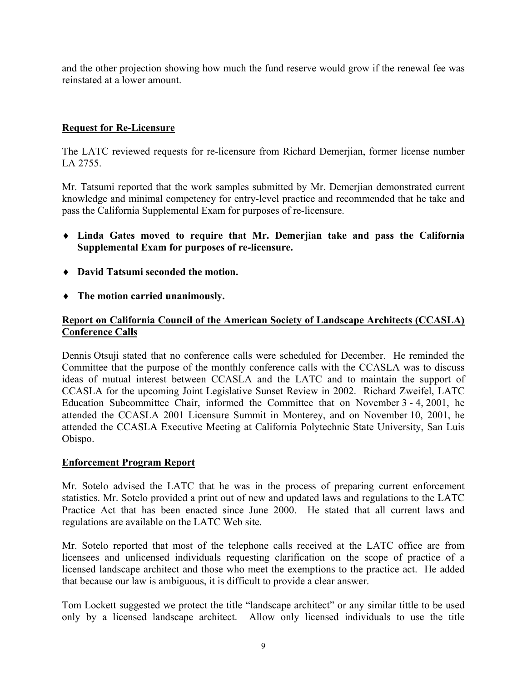and the other projection showing how much the fund reserve would grow if the renewal fee was reinstated at a lower amount.

# **Request for Re-Licensure**

The LATC reviewed requests for re-licensure from Richard Demerjian, former license number LA 2755.

Mr. Tatsumi reported that the work samples submitted by Mr. Demerjian demonstrated current knowledge and minimal competency for entry-level practice and recommended that he take and pass the California Supplemental Exam for purposes of re-licensure.

- ♦ **Linda Gates moved to require that Mr. Demerjian take and pass the California Supplemental Exam for purposes of re-licensure.**
- ♦ **David Tatsumi seconded the motion.**
- ♦ **The motion carried unanimously.**

#### **Report on California Council of the American Society of Landscape Architects (CCASLA) Conference Calls**

Dennis Otsuji stated that no conference calls were scheduled for December. He reminded the Committee that the purpose of the monthly conference calls with the CCASLA was to discuss ideas of mutual interest between CCASLA and the LATC and to maintain the support of CCASLA for the upcoming Joint Legislative Sunset Review in 2002. Richard Zweifel, LATC Education Subcommittee Chair, informed the Committee that on November 3 - 4, 2001, he attended the CCASLA 2001 Licensure Summit in Monterey, and on November 10, 2001, he attended the CCASLA Executive Meeting at California Polytechnic State University, San Luis Obispo.

#### **Enforcement Program Report**

Mr. Sotelo advised the LATC that he was in the process of preparing current enforcement statistics. Mr. Sotelo provided a print out of new and updated laws and regulations to the LATC Practice Act that has been enacted since June 2000. He stated that all current laws and regulations are available on the LATC Web site.

Mr. Sotelo reported that most of the telephone calls received at the LATC office are from licensees and unlicensed individuals requesting clarification on the scope of practice of a licensed landscape architect and those who meet the exemptions to the practice act. He added that because our law is ambiguous, it is difficult to provide a clear answer.

Tom Lockett suggested we protect the title "landscape architect" or any similar tittle to be used only by a licensed landscape architect. Allow only licensed individuals to use the title